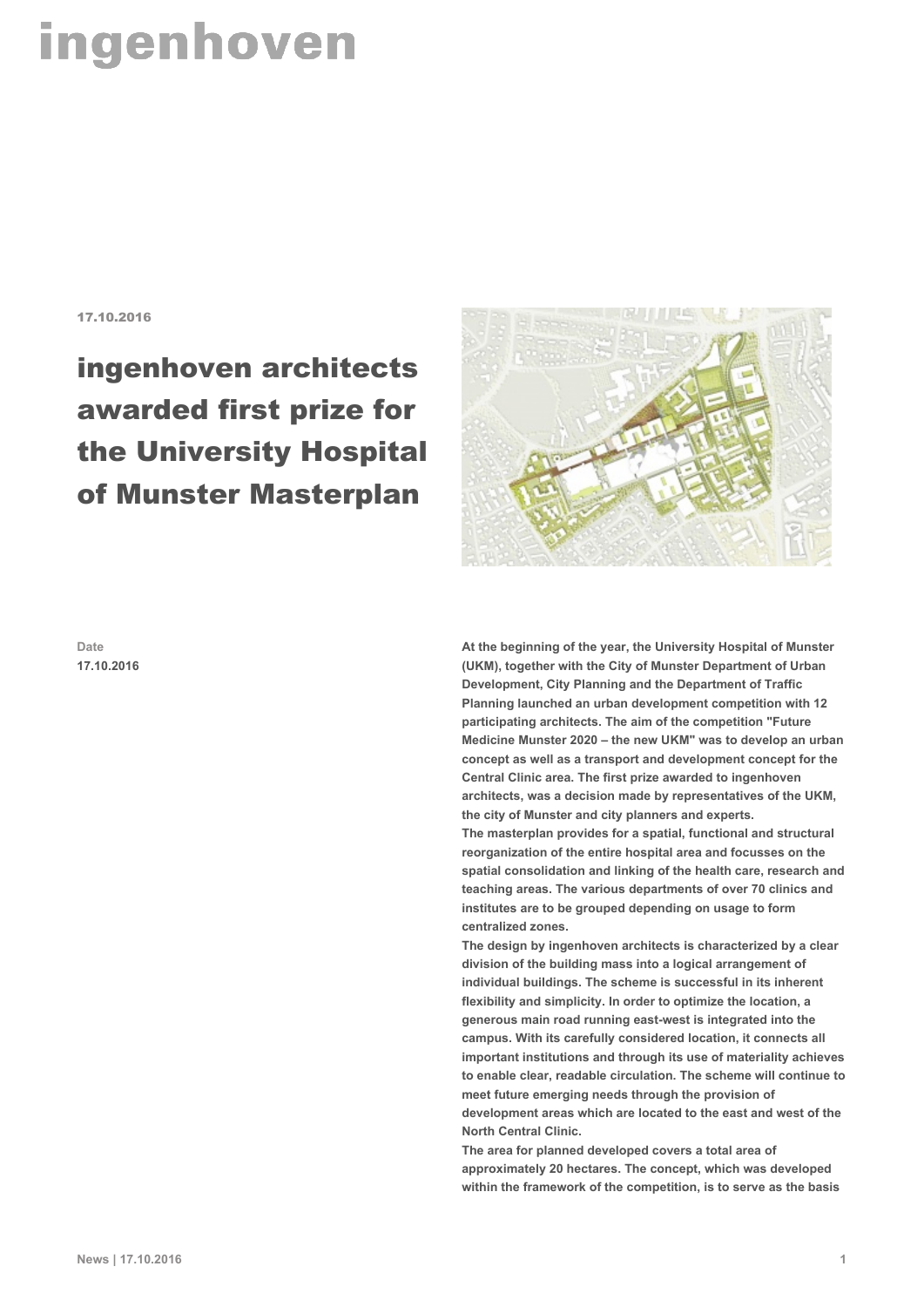## ingenhoven

17.10.2016

## ingenhoven architects awarded first prize for the University Hospital of Munster Masterplan



**Date 17.10.2016** **At the beginning of the year, the University Hospital of Munster (UKM), together with the City of Munster Department of Urban Development, City Planning and the Department of Traffic Planning launched an urban development competition with 12 participating architects. The aim of the competition "Future Medicine Munster 2020 – the new UKM" was to develop an urban concept as well as a transport and development concept for the Central Clinic area. The first prize awarded to ingenhoven architects, was a decision made by representatives of the UKM, the city of Munster and city planners and experts. The masterplan provides for a spatial, functional and structural reorganization of the entire hospital area and focusses on the spatial consolidation and linking of the health care, research and teaching areas. The various departments of over 70 clinics and institutes are to be grouped depending on usage to form centralized zones.**

**The design by ingenhoven architects is characterized by a clear division of the building mass into a logical arrangement of individual buildings. The scheme is successful in its inherent flexibility and simplicity. In order to optimize the location, a generous main road running east-west is integrated into the campus. With its carefully considered location, it connects all important institutions and through its use of materiality achieves to enable clear, readable circulation. The scheme will continue to meet future emerging needs through the provision of development areas which are located to the east and west of the North Central Clinic.**

**The area for planned developed covers a total area of approximately 20 hectares. The concept, which was developed within the framework of the competition, is to serve as the basis**